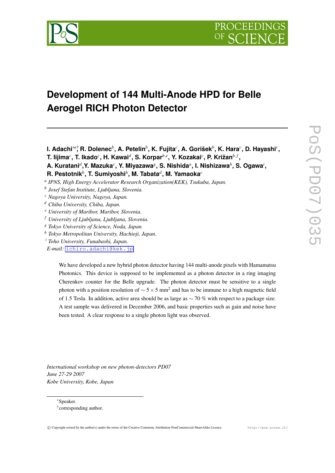

# **Development of 144 Multi-Anode HPD for Belle Aerogel RICH Photon Detector**

**I. Adachi***∗a*† **, R. Dolenec***<sup>b</sup>* **, A. Petelin***<sup>b</sup>* **, K. Fujita***<sup>c</sup>* **, A. Gorišek***<sup>b</sup>* **, K. Hara***<sup>c</sup>* **, D. Hayashi***<sup>c</sup>* **,**

 $\mathbf{r}$ . Iijima $^c$ , T. Ikado $^c$ , H. Kawai $^d$ , S. Korpar $^{b,e}$ , Y. Kozakai $^c$ , P. Križan $^{b,f}$ ,

**A. Kuratani***<sup>d</sup>* **,Y. Mazuka***<sup>c</sup>* **, Y. Miyazawa***<sup>g</sup>* **, S. Nishida***<sup>a</sup>* **, I. Nishizawa***<sup>h</sup>* **, S. Ogawa***<sup>i</sup>* **,**

**R. Pestotnik***<sup>b</sup>* **, T. Sumiyoshi***<sup>h</sup>* **, M. Tabata***<sup>d</sup>* **, M. Yamaoka***<sup>c</sup>*

*a IPNS, High Energy Accelerator Research Organization(KEK), Tsukuba, Japan.*

*b Josef Stefan Institute, Ljubljana, Slovenia.*

*<sup>c</sup> Nagoya University, Nagoya, Japan.*

- *<sup>d</sup> Chiba University, Chiba, Japan.*
- *<sup>e</sup> University of Maribor, Maribor, Slovenia.*

*<sup>f</sup> University of Ljubljana, Ljubljana, Slovenia.*

*<sup>g</sup> Tokyo University of Science, Noda, Japan.*

*<sup>h</sup> Tokyo Metropolitan University, Hachioji, Japan.*

*<sup>i</sup> Toho University, Funabashi, Japan.*

*E-mail:* [ichiro.adachi@kek.jp](mailto:ichiro.adachi@kek.jp)

We have developed a new hybrid photon detector having 144 multi-anode pixels with Hamamatsu Photonics. This device is supposed to be implemented as a photon detector in a ring imaging Cherenkov counter for the Belle upgrade. The photon detector must be sensitive to a single photon with a position resolution of *<sup>∼</sup>* <sup>5</sup>*×*<sup>5</sup> mm<sup>2</sup> and has to be immune to a high magnetic field of 1.5 Tesla. In addition, active area should be as large as *∼* 70 % with respect to a package size. A test sample was delivered in December 2006, and basic properties such as gain and noise have been tested. A clear response to a single photon light was observed.

*International workshop on new photon-detectors PD07 June 27-29 2007 Kobe University, Kobe, Japan*

*∗*Speaker. † corresponding author.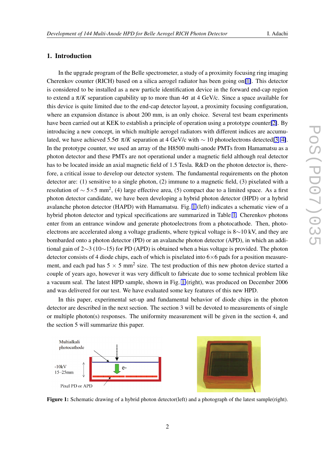## 1. Introduction

In the upgrade program of the Belle spectrometer, a study of a proximity focusing ring imaging Cherenkov counter (RICH) based on a silica aerogel radiator has been going on[\[1\]](#page-4-0). This detector is considered to be installed as a new particle identification device in the forward end-cap region to extend a  $\pi/K$  separation capability up to more than  $4\sigma$  at 4 GeV/c. Since a space available for this device is quite limited due to the end-cap detector layout, a proximity focusing configuration, where an expansion distance is about 200 mm, is an only choice. Several test beam experiments have been carried out at KEK to establish a principle of operation using a prototype counter[\[2\]](#page-4-0). By introducing a new concept, in which multiple aerogel radiators with different indices are accumulated, we have achieved 5.5σ π/*K* separation at 4 GeV/c with  $\sim$  10 photoelectrons detected[\[3,](#page-4-0) [4\]](#page-4-0). In the prototype counter, we used an array of the H8500 multi-anode PMTs from Hamamatsu as a photon detector and these PMTs are not operational under a magnetic field although real detector has to be located inside an axial magnetic field of 1.5 Tesla. R&D on the photon detector is, therefore, a critical issue to develop our detector system. The fundamental requirements on the photon detector are: (1) sensitive to a single photon, (2) immune to a magnetic field, (3) pixelated with a resolution of *<sup>∼</sup>* <sup>5</sup>*×*5 mm<sup>2</sup> , (4) large effective area, (5) compact due to a limited space. As a first photon detector candidate, we have been developing a hybrid photon detector (HPD) or a hybrid avalanche photon detector (HAPD) with Hamamatsu. Fig. 1 (left) indicates a schematic view of a hybrid photon detector and typical specifications are summarized in Table [1.](#page-2-0) Cherenkov photons enter from an entrance window and generate photoelectrons from a photocathode. Then, photoelectrons are accelerated along a voltage gradients, where typical voltage is 8*∼*10 kV, and they are bombarded onto a photon detector (PD) or an avalanche photon detector (APD), in which an additional gain of 2*∼*3 (10*∼*15) for PD (APD) is obtained when a bias voltage is provided. The photon detector consists of 4 diode chips, each of which is pixelated into 6*×*6 pads for a position measurement, and each pad has  $5 \times 5$  mm<sup>2</sup> size. The test production of this new photon device started a couple of years ago, however it was very difficult to fabricate due to some technical problem like a vacuum seal. The latest HPD sample, shown in Fig. 1 (right), was produced on December 2006 and was delivered for our test. We have evaluated some key features of this new HPD.

In this paper, experimental set-up and fundamental behavior of diode chips in the photon detector are described in the next section. The section 3 will be devoted to measurements of single or multiple photon(s) responses. The uniformity measurement will be given in the section 4, and the section 5 will summarize this paper.



Figure 1: Schematic drawing of a hybrid photon detector(left) and a photograph of the latest sample(right).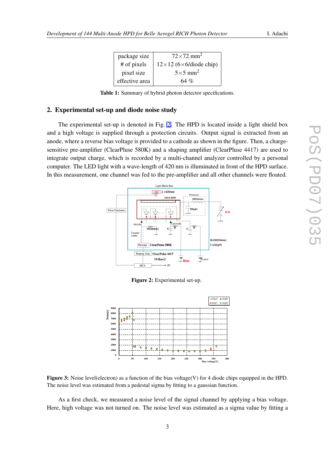| package size   | $72\times72$ mm <sup>2</sup>  |
|----------------|-------------------------------|
| # of pixels    | $12\times12$ (6×6/diode chip) |
| pixel size     | $5\times 5$ mm <sup>2</sup>   |
| effective area | 64 %                          |

Table 1: Summary of hybrid photon detector specifications.

# <span id="page-2-0"></span>2. Experimental set-up and diode noise study

The experimental set-up is denoted in Fig. 2. The HPD is located inside a light shield box and a high voltage is supplied through a protection circuits. Output signal is extracted from an anode, where a reverse bias voltage is provided to a cathode as shown in the figure. Then, a chargesensitive pre-amplifier (ClearPluse 580K) and a shaping amplifier (ClearPluse 4417) are used to integrate output charge, which is recorded by a multi-channel analyzer controlled by a personal computer. The LED light with a wave-length of 420 nm is illuminated in front of the HPD surface. In this measurement, one channel was fed to the pre-amplifier and all other channels were floated.



Figure 2: Experimental set-up.



Figure 3: Noise level(electron) as a function of the bias voltage(V) for 4 diode chips equipped in the HPD. The noise level was estimated from a pedestal sigma by fitting to a gaussian function.

As a first check, we measured a noise level of the signal channel by applying a bias voltage. Here, high voltage was not turned on. The noise level was estimated as a sigma value by fitting a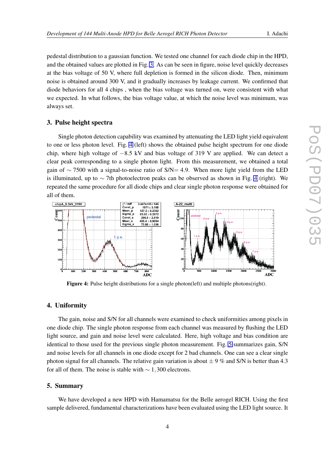pedestal distribution to a gaussian function. We tested one channel for each diode chip in the HPD, and the obtained values are plotted in Fig. [3.](#page-2-0) As can be seen in figure, noise level quickly decreases at the bias voltage of 50 V, where full depletion is formed in the silicon diode. Then, minimum noise is obtained around 300 V, and it gradually increases by leakage current. We confirmed that diode behaviors for all 4 chips , when the bias voltage was turned on, were consistent with what we expected. In what follows, the bias voltage value, at which the noise level was minimum, was always set.

#### 3. Pulse height spectra

Single photon detection capability was examined by attenuating the LED light yield equivalent to one or less photon level. Fig. 4 (left) shows the obtained pulse height spectrum for one diode chip, where high voltage of *−*8*.*5 kV and bias voltage of 319 V are applied. We can detect a clear peak corresponding to a single photon light. From this measurement, we obtained a total gain of *∼* 7500 with a signal-to-noise ratio of S/N= 4*.*9. When more light yield from the LED is illuminated, up to *∼* 7th photoelectron peaks can be observed as shown in Fig. 4 (right). We repeated the same procedure for all diode chips and clear single photon response were obtained for all of them.



Figure 4: Pulse height distributions for a single photon(left) and multiple photons(right).

## 4. Uniformity

The gain, noise and S/N for all channels were examined to check uniformities among pixels in one diode chip. The single photon response from each channel was measured by flushing the LED light source, and gain and noise level were calculated. Here, high voltage and bias condition are identical to those used for the previous single photon measurement. Fig. [5](#page-4-0) summarizes gain, S/N and noise levels for all channels in one diode except for 2 bad channels. One can see a clear single photon signal for all channels. The relative gain variation is about  $\pm 9$  % and S/N is better than 4.3 for all of them. The noise is stable with *∼* 1*,*300 electrons.

#### 5. Summary

We have developed a new HPD with Hamamatsu for the Belle aerogel RICH. Using the first sample delivered, fundamental characterizations have been evaluated using the LED light source. It